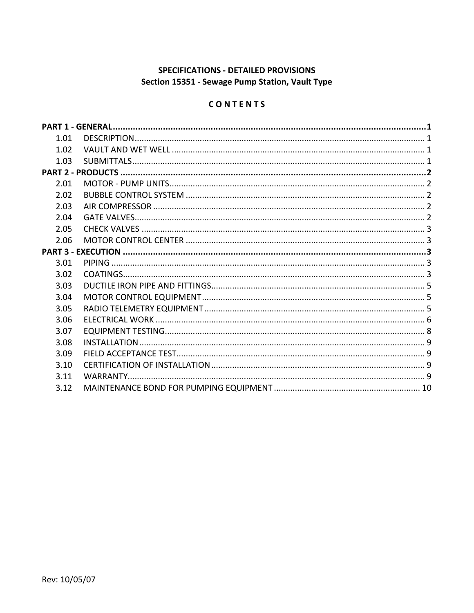# SPECIFICATIONS - DETAILED PROVISIONS Section 15351 - Sewage Pump Station, Vault Type

# CONTENTS

| 1.01 |  |
|------|--|
| 1.02 |  |
| 1.03 |  |
|      |  |
| 2.01 |  |
| 2.02 |  |
| 2.03 |  |
| 2.04 |  |
| 2.05 |  |
| 2.06 |  |
|      |  |
| 3.01 |  |
| 3.02 |  |
| 3.03 |  |
| 3.04 |  |
| 3.05 |  |
| 3.06 |  |
| 3.07 |  |
| 3.08 |  |
| 3.09 |  |
| 3.10 |  |
| 3.11 |  |
| 3.12 |  |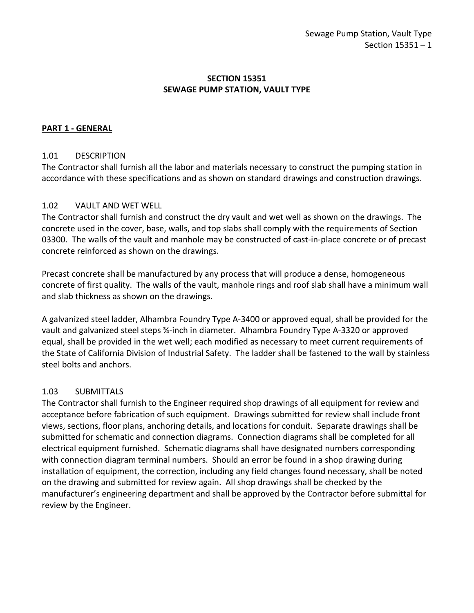## **SECTION 15351 SEWAGE PUMP STATION, VAULT TYPE**

## <span id="page-2-0"></span>**PART 1 - GENERAL**

#### <span id="page-2-1"></span>1.01 DESCRIPTION

The Contractor shall furnish all the labor and materials necessary to construct the pumping station in accordance with these specifications and as shown on standard drawings and construction drawings.

## <span id="page-2-2"></span>1.02 VAULT AND WET WELL

The Contractor shall furnish and construct the dry vault and wet well as shown on the drawings. The concrete used in the cover, base, walls, and top slabs shall comply with the requirements of Section 03300. The walls of the vault and manhole may be constructed of cast-in-place concrete or of precast concrete reinforced as shown on the drawings.

Precast concrete shall be manufactured by any process that will produce a dense, homogeneous concrete of first quality. The walls of the vault, manhole rings and roof slab shall have a minimum wall and slab thickness as shown on the drawings.

A galvanized steel ladder, Alhambra Foundry Type A-3400 or approved equal, shall be provided for the vault and galvanized steel steps ¾-inch in diameter. Alhambra Foundry Type A-3320 or approved equal, shall be provided in the wet well; each modified as necessary to meet current requirements of the State of California Division of Industrial Safety. The ladder shall be fastened to the wall by stainless steel bolts and anchors.

#### <span id="page-2-3"></span>1.03 SUBMITTALS

The Contractor shall furnish to the Engineer required shop drawings of all equipment for review and acceptance before fabrication of such equipment. Drawings submitted for review shall include front views, sections, floor plans, anchoring details, and locations for conduit. Separate drawings shall be submitted for schematic and connection diagrams. Connection diagrams shall be completed for all electrical equipment furnished. Schematic diagrams shall have designated numbers corresponding with connection diagram terminal numbers. Should an error be found in a shop drawing during installation of equipment, the correction, including any field changes found necessary, shall be noted on the drawing and submitted for review again. All shop drawings shall be checked by the manufacturer's engineering department and shall be approved by the Contractor before submittal for review by the Engineer.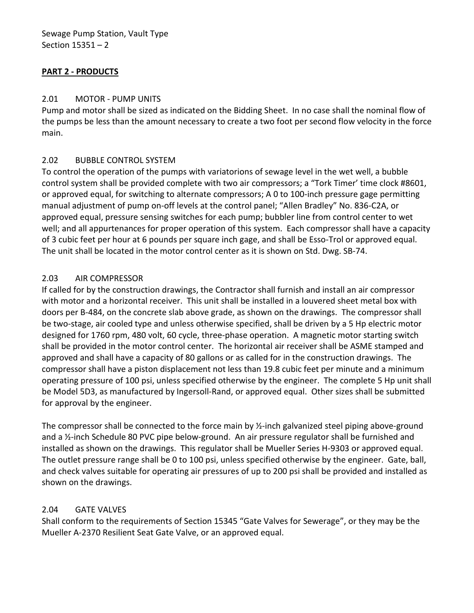# <span id="page-3-0"></span>**PART 2 - PRODUCTS**

## <span id="page-3-1"></span>2.01 MOTOR - PUMP UNITS

Pump and motor shall be sized as indicated on the Bidding Sheet. In no case shall the nominal flow of the pumps be less than the amount necessary to create a two foot per second flow velocity in the force main.

## <span id="page-3-2"></span>2.02 BUBBLE CONTROL SYSTEM

To control the operation of the pumps with variatorions of sewage level in the wet well, a bubble control system shall be provided complete with two air compressors; a "Tork Timer' time clock #8601, or approved equal, for switching to alternate compressors; A 0 to 100-inch pressure gage permitting manual adjustment of pump on-off levels at the control panel; "Allen Bradley" No. 836-C2A, or approved equal, pressure sensing switches for each pump; bubbler line from control center to wet well; and all appurtenances for proper operation of this system. Each compressor shall have a capacity of 3 cubic feet per hour at 6 pounds per square inch gage, and shall be Esso-Trol or approved equal. The unit shall be located in the motor control center as it is shown on Std. Dwg. SB-74.

## <span id="page-3-3"></span>2.03 AIR COMPRESSOR

If called for by the construction drawings, the Contractor shall furnish and install an air compressor with motor and a horizontal receiver. This unit shall be installed in a louvered sheet metal box with doors per B-484, on the concrete slab above grade, as shown on the drawings. The compressor shall be two-stage, air cooled type and unless otherwise specified, shall be driven by a 5 Hp electric motor designed for 1760 rpm, 480 volt, 60 cycle, three-phase operation. A magnetic motor starting switch shall be provided in the motor control center. The horizontal air receiver shall be ASME stamped and approved and shall have a capacity of 80 gallons or as called for in the construction drawings. The compressor shall have a piston displacement not less than 19.8 cubic feet per minute and a minimum operating pressure of 100 psi, unless specified otherwise by the engineer. The complete 5 Hp unit shall be Model 5D3, as manufactured by Ingersoll-Rand, or approved equal. Other sizes shall be submitted for approval by the engineer.

The compressor shall be connected to the force main by ½-inch galvanized steel piping above-ground and a ½-inch Schedule 80 PVC pipe below-ground. An air pressure regulator shall be furnished and installed as shown on the drawings. This regulator shall be Mueller Series H-9303 or approved equal. The outlet pressure range shall be 0 to 100 psi, unless specified otherwise by the engineer. Gate, ball, and check valves suitable for operating air pressures of up to 200 psi shall be provided and installed as shown on the drawings.

# <span id="page-3-4"></span>2.04 GATE VALVES

Shall conform to the requirements of Section 15345 "Gate Valves for Sewerage", or they may be the Mueller A-2370 Resilient Seat Gate Valve, or an approved equal.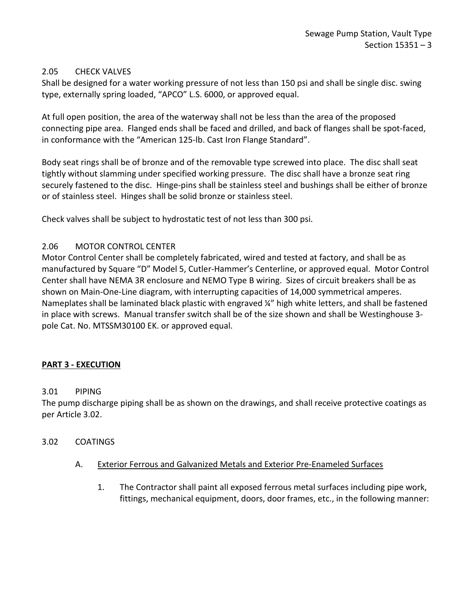## <span id="page-4-0"></span>2.05 CHECK VALVES

Shall be designed for a water working pressure of not less than 150 psi and shall be single disc. swing type, externally spring loaded, "APCO" L.S. 6000, or approved equal.

At full open position, the area of the waterway shall not be less than the area of the proposed connecting pipe area. Flanged ends shall be faced and drilled, and back of flanges shall be spot-faced, in conformance with the "American 125-lb. Cast Iron Flange Standard".

Body seat rings shall be of bronze and of the removable type screwed into place. The disc shall seat tightly without slamming under specified working pressure. The disc shall have a bronze seat ring securely fastened to the disc. Hinge-pins shall be stainless steel and bushings shall be either of bronze or of stainless steel. Hinges shall be solid bronze or stainless steel.

Check valves shall be subject to hydrostatic test of not less than 300 psi.

## <span id="page-4-1"></span>2.06 MOTOR CONTROL CENTER

Motor Control Center shall be completely fabricated, wired and tested at factory, and shall be as manufactured by Square "D" Model 5, Cutler-Hammer's Centerline, or approved equal. Motor Control Center shall have NEMA 3R enclosure and NEMO Type B wiring. Sizes of circuit breakers shall be as shown on Main-One-Line diagram, with interrupting capacities of 14,000 symmetrical amperes. Nameplates shall be laminated black plastic with engraved ¼" high white letters, and shall be fastened in place with screws. Manual transfer switch shall be of the size shown and shall be Westinghouse 3 pole Cat. No. MTSSM30100 EK. or approved equal.

#### <span id="page-4-2"></span>**PART 3 - EXECUTION**

#### <span id="page-4-3"></span>3.01 PIPING

The pump discharge piping shall be as shown on the drawings, and shall receive protective coatings as per Article 3.02.

#### <span id="page-4-4"></span>3.02 COATINGS

- A. Exterior Ferrous and Galvanized Metals and Exterior Pre-Enameled Surfaces
	- 1. The Contractor shall paint all exposed ferrous metal surfaces including pipe work, fittings, mechanical equipment, doors, door frames, etc., in the following manner: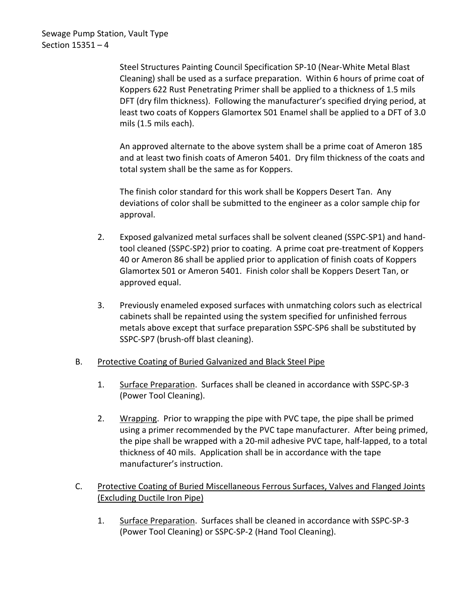Steel Structures Painting Council Specification SP-10 (Near-White Metal Blast Cleaning) shall be used as a surface preparation. Within 6 hours of prime coat of Koppers 622 Rust Penetrating Primer shall be applied to a thickness of 1.5 mils DFT (dry film thickness). Following the manufacturer's specified drying period, at least two coats of Koppers Glamortex 501 Enamel shall be applied to a DFT of 3.0 mils (1.5 mils each).

An approved alternate to the above system shall be a prime coat of Ameron 185 and at least two finish coats of Ameron 5401. Dry film thickness of the coats and total system shall be the same as for Koppers.

The finish color standard for this work shall be Koppers Desert Tan. Any deviations of color shall be submitted to the engineer as a color sample chip for approval.

- 2. Exposed galvanized metal surfaces shall be solvent cleaned (SSPC-SP1) and handtool cleaned (SSPC-SP2) prior to coating. A prime coat pre-treatment of Koppers 40 or Ameron 86 shall be applied prior to application of finish coats of Koppers Glamortex 501 or Ameron 5401. Finish color shall be Koppers Desert Tan, or approved equal.
- 3. Previously enameled exposed surfaces with unmatching colors such as electrical cabinets shall be repainted using the system specified for unfinished ferrous metals above except that surface preparation SSPC-SP6 shall be substituted by SSPC-SP7 (brush-off blast cleaning).

# B. Protective Coating of Buried Galvanized and Black Steel Pipe

- 1. Surface Preparation. Surfaces shall be cleaned in accordance with SSPC-SP-3 (Power Tool Cleaning).
- 2. Wrapping. Prior to wrapping the pipe with PVC tape, the pipe shall be primed using a primer recommended by the PVC tape manufacturer. After being primed, the pipe shall be wrapped with a 20-mil adhesive PVC tape, half-lapped, to a total thickness of 40 mils. Application shall be in accordance with the tape manufacturer's instruction.
- C. Protective Coating of Buried Miscellaneous Ferrous Surfaces, Valves and Flanged Joints (Excluding Ductile Iron Pipe)
	- 1. Surface Preparation. Surfaces shall be cleaned in accordance with SSPC-SP-3 (Power Tool Cleaning) or SSPC-SP-2 (Hand Tool Cleaning).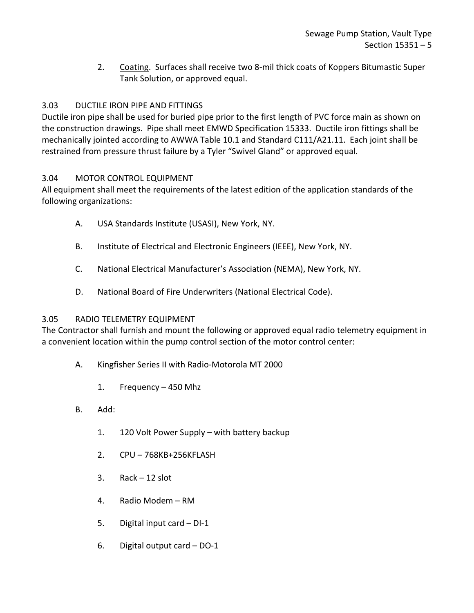2. Coating. Surfaces shall receive two 8-mil thick coats of Koppers Bitumastic Super Tank Solution, or approved equal.

# <span id="page-6-0"></span>3.03 DUCTILE IRON PIPE AND FITTINGS

Ductile iron pipe shall be used for buried pipe prior to the first length of PVC force main as shown on the construction drawings. Pipe shall meet EMWD Specification 15333. Ductile iron fittings shall be mechanically jointed according to AWWA Table 10.1 and Standard C111/A21.11. Each joint shall be restrained from pressure thrust failure by a Tyler "Swivel Gland" or approved equal.

# <span id="page-6-1"></span>3.04 MOTOR CONTROL EQUIPMENT

All equipment shall meet the requirements of the latest edition of the application standards of the following organizations:

- A. USA Standards Institute (USASI), New York, NY.
- B. Institute of Electrical and Electronic Engineers (IEEE), New York, NY.
- C. National Electrical Manufacturer's Association (NEMA), New York, NY.
- D. National Board of Fire Underwriters (National Electrical Code).

# <span id="page-6-2"></span>3.05 RADIO TELEMETRY EQUIPMENT

The Contractor shall furnish and mount the following or approved equal radio telemetry equipment in a convenient location within the pump control section of the motor control center:

- A. Kingfisher Series II with Radio-Motorola MT 2000
	- 1. Frequency 450 Mhz
- B. Add:
	- 1. 120 Volt Power Supply with battery backup
	- 2. CPU 768KB+256KFLASH
	- 3. Rack 12 slot
	- 4. Radio Modem RM
	- 5. Digital input card DI-1
	- 6. Digital output card DO-1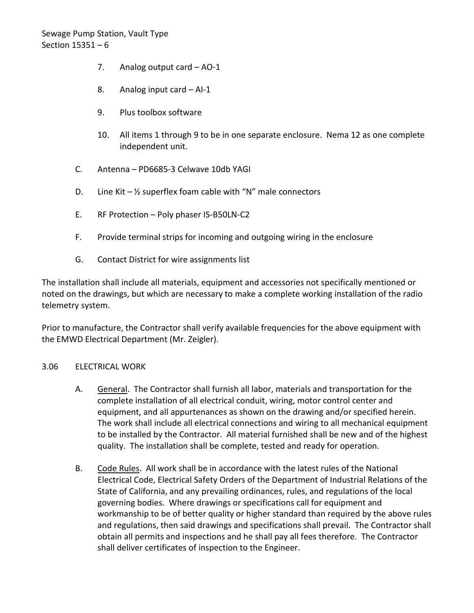- 7. Analog output card AO-1
- 8. Analog input card AI-1
- 9. Plus toolbox software
- 10. All items 1 through 9 to be in one separate enclosure. Nema 12 as one complete independent unit.
- C. Antenna PD6685-3 Celwave 10db YAGI
- D. Line Kit  $-\frac{1}{2}$  superflex foam cable with "N" male connectors
- E. RF Protection Poly phaser IS-B50LN-C2
- F. Provide terminal strips for incoming and outgoing wiring in the enclosure
- G. Contact District for wire assignments list

The installation shall include all materials, equipment and accessories not specifically mentioned or noted on the drawings, but which are necessary to make a complete working installation of the radio telemetry system.

Prior to manufacture, the Contractor shall verify available frequencies for the above equipment with the EMWD Electrical Department (Mr. Zeigler).

#### <span id="page-7-0"></span>3.06 ELECTRICAL WORK

- A. General. The Contractor shall furnish all labor, materials and transportation for the complete installation of all electrical conduit, wiring, motor control center and equipment, and all appurtenances as shown on the drawing and/or specified herein. The work shall include all electrical connections and wiring to all mechanical equipment to be installed by the Contractor. All material furnished shall be new and of the highest quality. The installation shall be complete, tested and ready for operation.
- B. Code Rules. All work shall be in accordance with the latest rules of the National Electrical Code, Electrical Safety Orders of the Department of Industrial Relations of the State of California, and any prevailing ordinances, rules, and regulations of the local governing bodies. Where drawings or specifications call for equipment and workmanship to be of better quality or higher standard than required by the above rules and regulations, then said drawings and specifications shall prevail. The Contractor shall obtain all permits and inspections and he shall pay all fees therefore. The Contractor shall deliver certificates of inspection to the Engineer.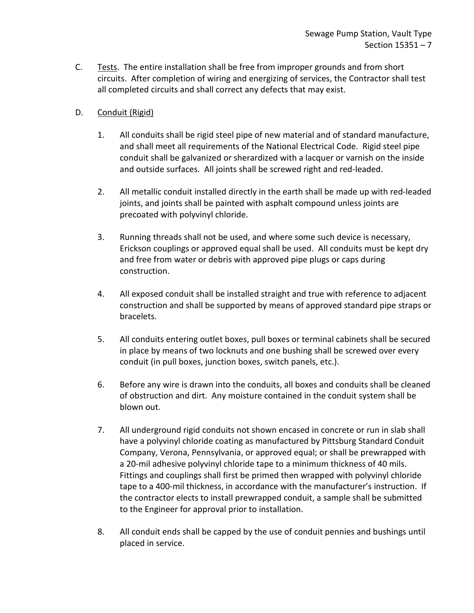C. Tests. The entire installation shall be free from improper grounds and from short circuits. After completion of wiring and energizing of services, the Contractor shall test all completed circuits and shall correct any defects that may exist.

# D. Conduit (Rigid)

- 1. All conduits shall be rigid steel pipe of new material and of standard manufacture, and shall meet all requirements of the National Electrical Code. Rigid steel pipe conduit shall be galvanized or sherardized with a lacquer or varnish on the inside and outside surfaces. All joints shall be screwed right and red-leaded.
- 2. All metallic conduit installed directly in the earth shall be made up with red-leaded joints, and joints shall be painted with asphalt compound unless joints are precoated with polyvinyl chloride.
- 3. Running threads shall not be used, and where some such device is necessary, Erickson couplings or approved equal shall be used. All conduits must be kept dry and free from water or debris with approved pipe plugs or caps during construction.
- 4. All exposed conduit shall be installed straight and true with reference to adjacent construction and shall be supported by means of approved standard pipe straps or bracelets.
- 5. All conduits entering outlet boxes, pull boxes or terminal cabinets shall be secured in place by means of two locknuts and one bushing shall be screwed over every conduit (in pull boxes, junction boxes, switch panels, etc.).
- 6. Before any wire is drawn into the conduits, all boxes and conduits shall be cleaned of obstruction and dirt. Any moisture contained in the conduit system shall be blown out.
- 7. All underground rigid conduits not shown encased in concrete or run in slab shall have a polyvinyl chloride coating as manufactured by Pittsburg Standard Conduit Company, Verona, Pennsylvania, or approved equal; or shall be prewrapped with a 20-mil adhesive polyvinyl chloride tape to a minimum thickness of 40 mils. Fittings and couplings shall first be primed then wrapped with polyvinyl chloride tape to a 400-mil thickness, in accordance with the manufacturer's instruction. If the contractor elects to install prewrapped conduit, a sample shall be submitted to the Engineer for approval prior to installation.
- 8. All conduit ends shall be capped by the use of conduit pennies and bushings until placed in service.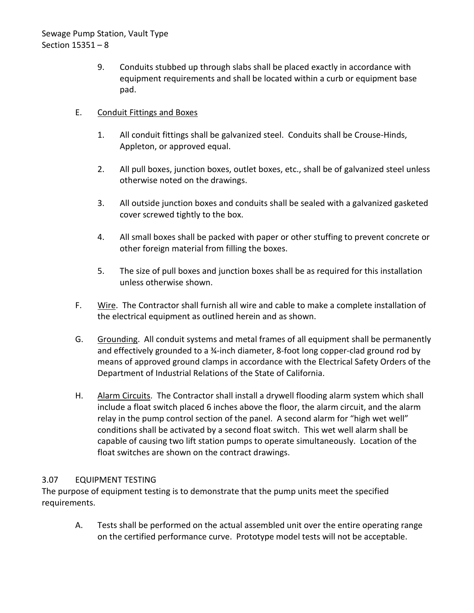9. Conduits stubbed up through slabs shall be placed exactly in accordance with equipment requirements and shall be located within a curb or equipment base pad.

# E. Conduit Fittings and Boxes

- 1. All conduit fittings shall be galvanized steel. Conduits shall be Crouse-Hinds, Appleton, or approved equal.
- 2. All pull boxes, junction boxes, outlet boxes, etc., shall be of galvanized steel unless otherwise noted on the drawings.
- 3. All outside junction boxes and conduits shall be sealed with a galvanized gasketed cover screwed tightly to the box.
- 4. All small boxes shall be packed with paper or other stuffing to prevent concrete or other foreign material from filling the boxes.
- 5. The size of pull boxes and junction boxes shall be as required for this installation unless otherwise shown.
- F. Wire. The Contractor shall furnish all wire and cable to make a complete installation of the electrical equipment as outlined herein and as shown.
- G. Grounding. All conduit systems and metal frames of all equipment shall be permanently and effectively grounded to a 3<sup>4</sup>-inch diameter, 8-foot long copper-clad ground rod by means of approved ground clamps in accordance with the Electrical Safety Orders of the Department of Industrial Relations of the State of California.
- H. Alarm Circuits. The Contractor shall install a drywell flooding alarm system which shall include a float switch placed 6 inches above the floor, the alarm circuit, and the alarm relay in the pump control section of the panel. A second alarm for "high wet well" conditions shall be activated by a second float switch. This wet well alarm shall be capable of causing two lift station pumps to operate simultaneously. Location of the float switches are shown on the contract drawings.

# <span id="page-9-0"></span>3.07 EQUIPMENT TESTING

The purpose of equipment testing is to demonstrate that the pump units meet the specified requirements.

A. Tests shall be performed on the actual assembled unit over the entire operating range on the certified performance curve. Prototype model tests will not be acceptable.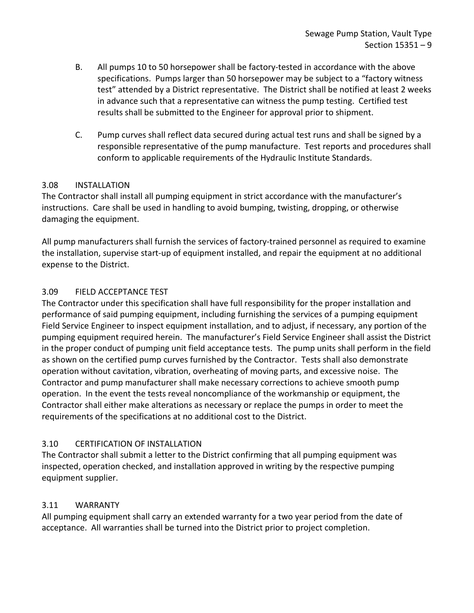- B. All pumps 10 to 50 horsepower shall be factory-tested in accordance with the above specifications. Pumps larger than 50 horsepower may be subject to a "factory witness test" attended by a District representative. The District shall be notified at least 2 weeks in advance such that a representative can witness the pump testing. Certified test results shall be submitted to the Engineer for approval prior to shipment.
- C. Pump curves shall reflect data secured during actual test runs and shall be signed by a responsible representative of the pump manufacture. Test reports and procedures shall conform to applicable requirements of the Hydraulic Institute Standards.

# <span id="page-10-0"></span>3.08 INSTALLATION

The Contractor shall install all pumping equipment in strict accordance with the manufacturer's instructions. Care shall be used in handling to avoid bumping, twisting, dropping, or otherwise damaging the equipment.

All pump manufacturers shall furnish the services of factory-trained personnel as required to examine the installation, supervise start-up of equipment installed, and repair the equipment at no additional expense to the District.

# <span id="page-10-1"></span>3.09 FIELD ACCEPTANCE TEST

The Contractor under this specification shall have full responsibility for the proper installation and performance of said pumping equipment, including furnishing the services of a pumping equipment Field Service Engineer to inspect equipment installation, and to adjust, if necessary, any portion of the pumping equipment required herein. The manufacturer's Field Service Engineer shall assist the District in the proper conduct of pumping unit field acceptance tests. The pump units shall perform in the field as shown on the certified pump curves furnished by the Contractor. Tests shall also demonstrate operation without cavitation, vibration, overheating of moving parts, and excessive noise. The Contractor and pump manufacturer shall make necessary corrections to achieve smooth pump operation. In the event the tests reveal noncompliance of the workmanship or equipment, the Contractor shall either make alterations as necessary or replace the pumps in order to meet the requirements of the specifications at no additional cost to the District.

# <span id="page-10-2"></span>3.10 CERTIFICATION OF INSTALLATION

The Contractor shall submit a letter to the District confirming that all pumping equipment was inspected, operation checked, and installation approved in writing by the respective pumping equipment supplier.

# <span id="page-10-3"></span>3.11 WARRANTY

All pumping equipment shall carry an extended warranty for a two year period from the date of acceptance. All warranties shall be turned into the District prior to project completion.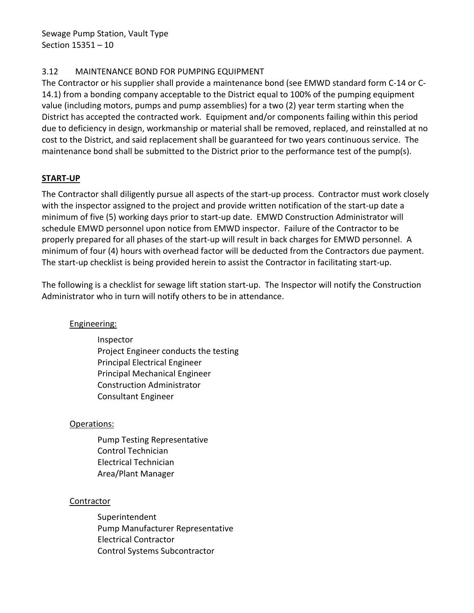# <span id="page-11-0"></span>3.12 MAINTENANCE BOND FOR PUMPING EQUIPMENT

The Contractor or his supplier shall provide a maintenance bond (see EMWD standard form C-14 or C-14.1) from a bonding company acceptable to the District equal to 100% of the pumping equipment value (including motors, pumps and pump assemblies) for a two (2) year term starting when the District has accepted the contracted work. Equipment and/or components failing within this period due to deficiency in design, workmanship or material shall be removed, replaced, and reinstalled at no cost to the District, and said replacement shall be guaranteed for two years continuous service. The maintenance bond shall be submitted to the District prior to the performance test of the pump(s).

# **START-UP**

The Contractor shall diligently pursue all aspects of the start-up process. Contractor must work closely with the inspector assigned to the project and provide written notification of the start-up date a minimum of five (5) working days prior to start-up date. EMWD Construction Administrator will schedule EMWD personnel upon notice from EMWD inspector. Failure of the Contractor to be properly prepared for all phases of the start-up will result in back charges for EMWD personnel. A minimum of four (4) hours with overhead factor will be deducted from the Contractors due payment. The start-up checklist is being provided herein to assist the Contractor in facilitating start-up.

The following is a checklist for sewage lift station start-up. The Inspector will notify the Construction Administrator who in turn will notify others to be in attendance.

# Engineering:

Inspector Project Engineer conducts the testing Principal Electrical Engineer Principal Mechanical Engineer Construction Administrator Consultant Engineer

# Operations:

Pump Testing Representative Control Technician Electrical Technician Area/Plant Manager

#### Contractor

Superintendent Pump Manufacturer Representative Electrical Contractor Control Systems Subcontractor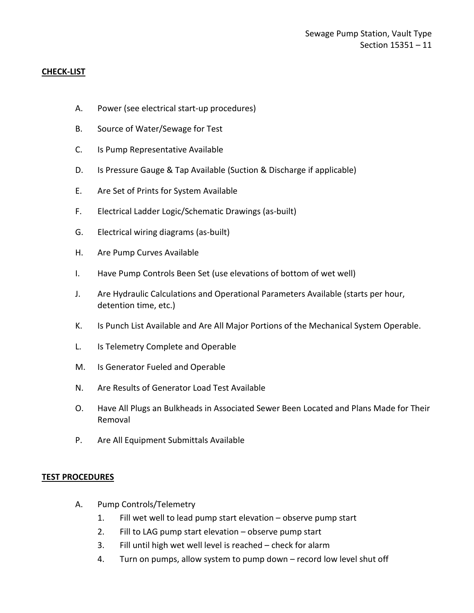## **CHECK-LIST**

- A. Power (see electrical start-up procedures)
- B. Source of Water/Sewage for Test
- C. Is Pump Representative Available
- D. Is Pressure Gauge & Tap Available (Suction & Discharge if applicable)
- E. Are Set of Prints for System Available
- F. Electrical Ladder Logic/Schematic Drawings (as-built)
- G. Electrical wiring diagrams (as-built)
- H. Are Pump Curves Available
- I. Have Pump Controls Been Set (use elevations of bottom of wet well)
- J. Are Hydraulic Calculations and Operational Parameters Available (starts per hour, detention time, etc.)
- K. Is Punch List Available and Are All Major Portions of the Mechanical System Operable.
- L. Is Telemetry Complete and Operable
- M. Is Generator Fueled and Operable
- N. Are Results of Generator Load Test Available
- O. Have All Plugs an Bulkheads in Associated Sewer Been Located and Plans Made for Their Removal
- P. Are All Equipment Submittals Available

#### **TEST PROCEDURES**

- A. Pump Controls/Telemetry
	- 1. Fill wet well to lead pump start elevation observe pump start
	- 2. Fill to LAG pump start elevation observe pump start
	- 3. Fill until high wet well level is reached check for alarm
	- 4. Turn on pumps, allow system to pump down record low level shut off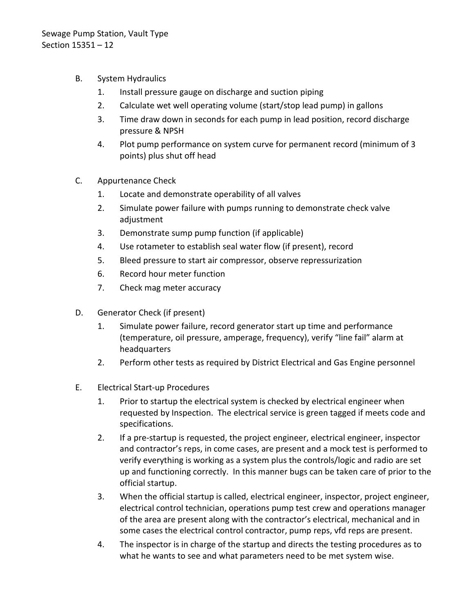- B. System Hydraulics
	- 1. Install pressure gauge on discharge and suction piping
	- 2. Calculate wet well operating volume (start/stop lead pump) in gallons
	- 3. Time draw down in seconds for each pump in lead position, record discharge pressure & NPSH
	- 4. Plot pump performance on system curve for permanent record (minimum of 3 points) plus shut off head
- C. Appurtenance Check
	- 1. Locate and demonstrate operability of all valves
	- 2. Simulate power failure with pumps running to demonstrate check valve adjustment
	- 3. Demonstrate sump pump function (if applicable)
	- 4. Use rotameter to establish seal water flow (if present), record
	- 5. Bleed pressure to start air compressor, observe repressurization
	- 6. Record hour meter function
	- 7. Check mag meter accuracy
- D. Generator Check (if present)
	- 1. Simulate power failure, record generator start up time and performance (temperature, oil pressure, amperage, frequency), verify "line fail" alarm at headquarters
	- 2. Perform other tests as required by District Electrical and Gas Engine personnel
- E. Electrical Start-up Procedures
	- 1. Prior to startup the electrical system is checked by electrical engineer when requested by Inspection. The electrical service is green tagged if meets code and specifications.
	- 2. If a pre-startup is requested, the project engineer, electrical engineer, inspector and contractor's reps, in come cases, are present and a mock test is performed to verify everything is working as a system plus the controls/logic and radio are set up and functioning correctly. In this manner bugs can be taken care of prior to the official startup.
	- 3. When the official startup is called, electrical engineer, inspector, project engineer, electrical control technician, operations pump test crew and operations manager of the area are present along with the contractor's electrical, mechanical and in some cases the electrical control contractor, pump reps, vfd reps are present.
	- 4. The inspector is in charge of the startup and directs the testing procedures as to what he wants to see and what parameters need to be met system wise.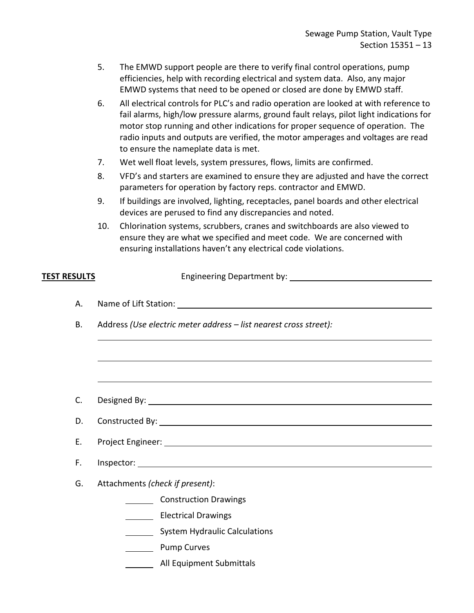- 5. The EMWD support people are there to verify final control operations, pump efficiencies, help with recording electrical and system data. Also, any major EMWD systems that need to be opened or closed are done by EMWD staff.
- 6. All electrical controls for PLC's and radio operation are looked at with reference to fail alarms, high/low pressure alarms, ground fault relays, pilot light indications for motor stop running and other indications for proper sequence of operation. The radio inputs and outputs are verified, the motor amperages and voltages are read to ensure the nameplate data is met.
- 7. Wet well float levels, system pressures, flows, limits are confirmed.
- 8. VFD's and starters are examined to ensure they are adjusted and have the correct parameters for operation by factory reps. contractor and EMWD.
- 9. If buildings are involved, lighting, receptacles, panel boards and other electrical devices are perused to find any discrepancies and noted.
- 10. Chlorination systems, scrubbers, cranes and switchboards are also viewed to ensure they are what we specified and meet code. We are concerned with ensuring installations haven't any electrical code violations.

| <u>TEST RESULTS</u> |                                                                   |
|---------------------|-------------------------------------------------------------------|
| Α.<br><b>B.</b>     | Address (Use electric meter address - list nearest cross street): |
|                     |                                                                   |
|                     |                                                                   |
|                     |                                                                   |
| C.                  |                                                                   |
| D.                  |                                                                   |
| E.                  |                                                                   |
| F.                  |                                                                   |
| G.                  | Attachments (check if present):                                   |
|                     | Construction Drawings                                             |
|                     | Electrical Drawings                                               |
|                     | System Hydraulic Calculations                                     |
|                     | <b>Example 1</b> Pump Curves                                      |
|                     | All Equipment Submittals                                          |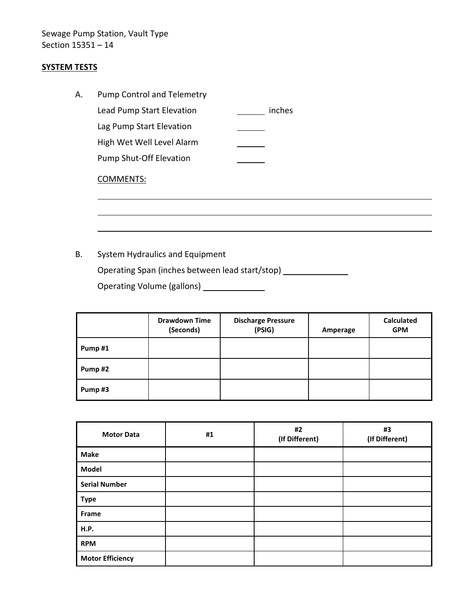# Sewage Pump Station, Vault Type Section 15351 – 14

# **SYSTEM TESTS**

| А. | <b>Pump Control and Telemetry</b> |        |
|----|-----------------------------------|--------|
|    | Lead Pump Start Elevation         | inches |
|    | Lag Pump Start Elevation          |        |
|    | High Wet Well Level Alarm         |        |
|    | <b>Pump Shut-Off Elevation</b>    |        |
|    | <b>COMMENTS:</b>                  |        |

B. System Hydraulics and Equipment Operating Span (inches between lead start/stop) Operating Volume (gallons)

|        | <b>Drawdown Time</b><br>(Seconds) | <b>Discharge Pressure</b><br>(PSIG) | Amperage | <b>Calculated</b><br><b>GPM</b> |
|--------|-----------------------------------|-------------------------------------|----------|---------------------------------|
| Pump#1 |                                   |                                     |          |                                 |
| Pump#2 |                                   |                                     |          |                                 |
| Pump#3 |                                   |                                     |          |                                 |

| <b>Motor Data</b>       | #1 | #2<br>(If Different) | #3<br>(If Different) |
|-------------------------|----|----------------------|----------------------|
| <b>Make</b>             |    |                      |                      |
| Model                   |    |                      |                      |
| <b>Serial Number</b>    |    |                      |                      |
| <b>Type</b>             |    |                      |                      |
| Frame                   |    |                      |                      |
| <b>H.P.</b>             |    |                      |                      |
| <b>RPM</b>              |    |                      |                      |
| <b>Motor Efficiency</b> |    |                      |                      |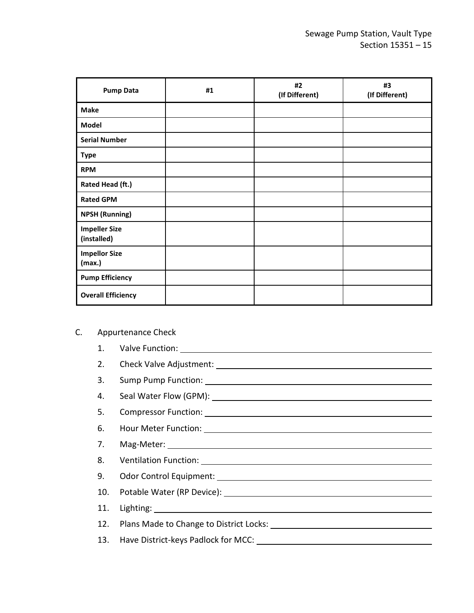| <b>Pump Data</b>                    | #1 | #2<br>(If Different) | #3<br>(If Different) |
|-------------------------------------|----|----------------------|----------------------|
| <b>Make</b>                         |    |                      |                      |
| <b>Model</b>                        |    |                      |                      |
| <b>Serial Number</b>                |    |                      |                      |
| <b>Type</b>                         |    |                      |                      |
| <b>RPM</b>                          |    |                      |                      |
| Rated Head (ft.)                    |    |                      |                      |
| <b>Rated GPM</b>                    |    |                      |                      |
| <b>NPSH (Running)</b>               |    |                      |                      |
| <b>Impeller Size</b><br>(installed) |    |                      |                      |
| <b>Impellor Size</b><br>(max.)      |    |                      |                      |
| <b>Pump Efficiency</b>              |    |                      |                      |
| <b>Overall Efficiency</b>           |    |                      |                      |

- C. Appurtenance Check
	- 1. Valve Function:
	- 2. Check Valve Adjustment:
	- 3. Sump Pump Function:
	- 4. Seal Water Flow (GPM):
	- 5. Compressor Function:
	- 6. Hour Meter Function:
	- 7. Mag-Meter:
	- 8. Ventilation Function:
	- 9. Odor Control Equipment:
	- 10. Potable Water (RP Device):
	- 11. Lighting:
	- 12. Plans Made to Change to District Locks:
	- 13. Have District-keys Padlock for MCC: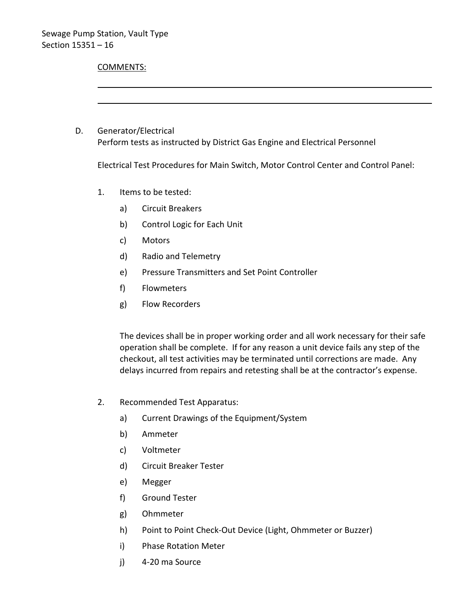# COMMENTS: D. Generator/Electrical Perform tests as instructed by District Gas Engine and Electrical Personnel

Electrical Test Procedures for Main Switch, Motor Control Center and Control Panel:

- 1. Items to be tested:
	- a) Circuit Breakers
	- b) Control Logic for Each Unit
	- c) Motors
	- d) Radio and Telemetry
	- e) Pressure Transmitters and Set Point Controller
	- f) Flowmeters
	- g) Flow Recorders

The devices shall be in proper working order and all work necessary for their safe operation shall be complete. If for any reason a unit device fails any step of the checkout, all test activities may be terminated until corrections are made. Any delays incurred from repairs and retesting shall be at the contractor's expense.

- 2. Recommended Test Apparatus:
	- a) Current Drawings of the Equipment/System
	- b) Ammeter
	- c) Voltmeter
	- d) Circuit Breaker Tester
	- e) Megger
	- f) Ground Tester
	- g) Ohmmeter
	- h) Point to Point Check-Out Device (Light, Ohmmeter or Buzzer)
	- i) Phase Rotation Meter
	- j) 4-20 ma Source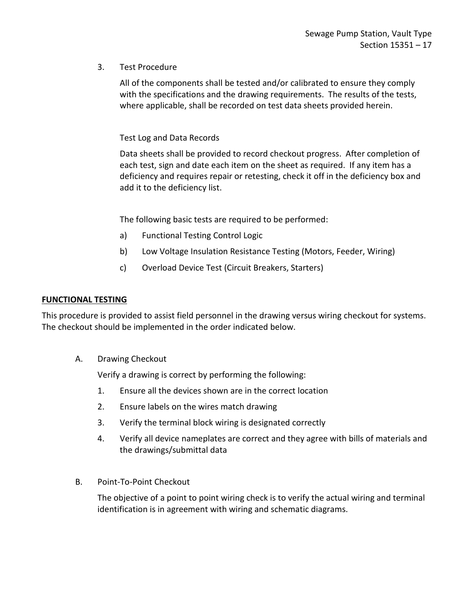## 3. Test Procedure

All of the components shall be tested and/or calibrated to ensure they comply with the specifications and the drawing requirements. The results of the tests, where applicable, shall be recorded on test data sheets provided herein.

## Test Log and Data Records

Data sheets shall be provided to record checkout progress. After completion of each test, sign and date each item on the sheet as required. If any item has a deficiency and requires repair or retesting, check it off in the deficiency box and add it to the deficiency list.

The following basic tests are required to be performed:

- a) Functional Testing Control Logic
- b) Low Voltage Insulation Resistance Testing (Motors, Feeder, Wiring)
- c) Overload Device Test (Circuit Breakers, Starters)

#### **FUNCTIONAL TESTING**

This procedure is provided to assist field personnel in the drawing versus wiring checkout for systems. The checkout should be implemented in the order indicated below.

A. Drawing Checkout

Verify a drawing is correct by performing the following:

- 1. Ensure all the devices shown are in the correct location
- 2. Ensure labels on the wires match drawing
- 3. Verify the terminal block wiring is designated correctly
- 4. Verify all device nameplates are correct and they agree with bills of materials and the drawings/submittal data
- B. Point-To-Point Checkout

The objective of a point to point wiring check is to verify the actual wiring and terminal identification is in agreement with wiring and schematic diagrams.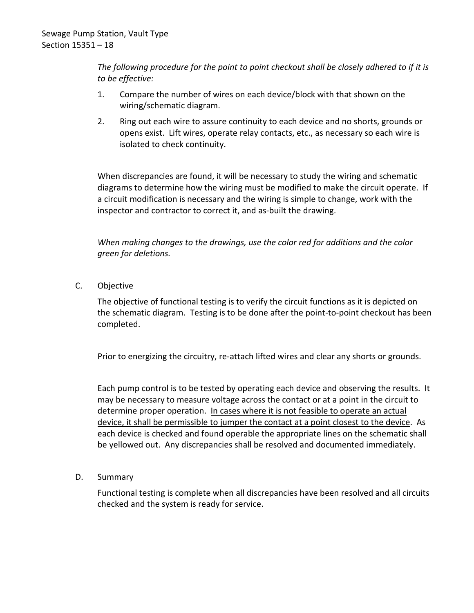*The following procedure for the point to point checkout shall be closely adhered to if it is to be effective:*

- 1. Compare the number of wires on each device/block with that shown on the wiring/schematic diagram.
- 2. Ring out each wire to assure continuity to each device and no shorts, grounds or opens exist. Lift wires, operate relay contacts, etc., as necessary so each wire is isolated to check continuity.

When discrepancies are found, it will be necessary to study the wiring and schematic diagrams to determine how the wiring must be modified to make the circuit operate. If a circuit modification is necessary and the wiring is simple to change, work with the inspector and contractor to correct it, and as-built the drawing.

*When making changes to the drawings, use the color red for additions and the color green for deletions.*

C. Objective

The objective of functional testing is to verify the circuit functions as it is depicted on the schematic diagram. Testing is to be done after the point-to-point checkout has been completed.

Prior to energizing the circuitry, re-attach lifted wires and clear any shorts or grounds.

Each pump control is to be tested by operating each device and observing the results. It may be necessary to measure voltage across the contact or at a point in the circuit to determine proper operation. In cases where it is not feasible to operate an actual device, it shall be permissible to jumper the contact at a point closest to the device. As each device is checked and found operable the appropriate lines on the schematic shall be yellowed out. Any discrepancies shall be resolved and documented immediately.

D. Summary

Functional testing is complete when all discrepancies have been resolved and all circuits checked and the system is ready for service.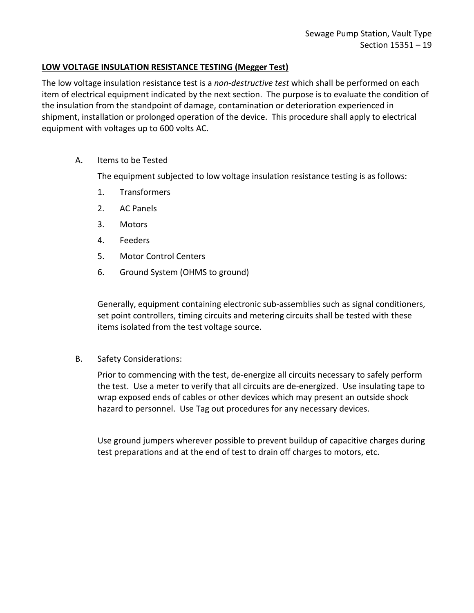#### **LOW VOLTAGE INSULATION RESISTANCE TESTING (Megger Test)**

The low voltage insulation resistance test is a *non-destructive test* which shall be performed on each item of electrical equipment indicated by the next section. The purpose is to evaluate the condition of the insulation from the standpoint of damage, contamination or deterioration experienced in shipment, installation or prolonged operation of the device. This procedure shall apply to electrical equipment with voltages up to 600 volts AC.

A. Items to be Tested

The equipment subjected to low voltage insulation resistance testing is as follows:

- 1. Transformers
- 2. AC Panels
- 3. Motors
- 4. Feeders
- 5. Motor Control Centers
- 6. Ground System (OHMS to ground)

Generally, equipment containing electronic sub-assemblies such as signal conditioners, set point controllers, timing circuits and metering circuits shall be tested with these items isolated from the test voltage source.

B. Safety Considerations:

Prior to commencing with the test, de-energize all circuits necessary to safely perform the test. Use a meter to verify that all circuits are de-energized. Use insulating tape to wrap exposed ends of cables or other devices which may present an outside shock hazard to personnel. Use Tag out procedures for any necessary devices.

Use ground jumpers wherever possible to prevent buildup of capacitive charges during test preparations and at the end of test to drain off charges to motors, etc.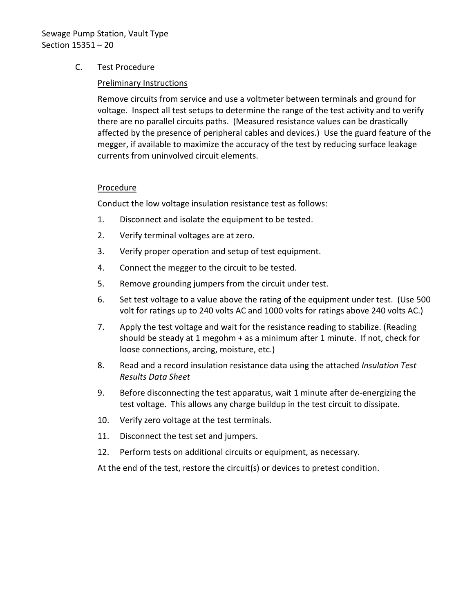# Sewage Pump Station, Vault Type Section 15351 – 20

## C. Test Procedure

## Preliminary Instructions

Remove circuits from service and use a voltmeter between terminals and ground for voltage. Inspect all test setups to determine the range of the test activity and to verify there are no parallel circuits paths. (Measured resistance values can be drastically affected by the presence of peripheral cables and devices.) Use the guard feature of the megger, if available to maximize the accuracy of the test by reducing surface leakage currents from uninvolved circuit elements.

#### Procedure

Conduct the low voltage insulation resistance test as follows:

- 1. Disconnect and isolate the equipment to be tested.
- 2. Verify terminal voltages are at zero.
- 3. Verify proper operation and setup of test equipment.
- 4. Connect the megger to the circuit to be tested.
- 5. Remove grounding jumpers from the circuit under test.
- 6. Set test voltage to a value above the rating of the equipment under test. (Use 500 volt for ratings up to 240 volts AC and 1000 volts for ratings above 240 volts AC.)
- 7. Apply the test voltage and wait for the resistance reading to stabilize. (Reading should be steady at 1 megohm + as a minimum after 1 minute. If not, check for loose connections, arcing, moisture, etc.)
- 8. Read and a record insulation resistance data using the attached *Insulation Test Results Data Sheet*
- 9. Before disconnecting the test apparatus, wait 1 minute after de-energizing the test voltage. This allows any charge buildup in the test circuit to dissipate.
- 10. Verify zero voltage at the test terminals.
- 11. Disconnect the test set and jumpers.
- 12. Perform tests on additional circuits or equipment, as necessary.

At the end of the test, restore the circuit(s) or devices to pretest condition.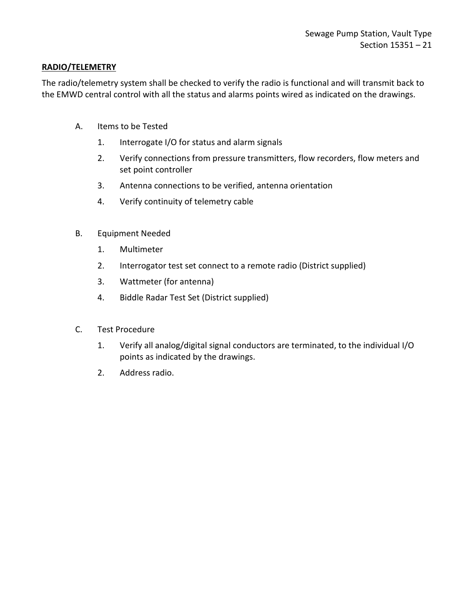## **RADIO/TELEMETRY**

The radio/telemetry system shall be checked to verify the radio is functional and will transmit back to the EMWD central control with all the status and alarms points wired as indicated on the drawings.

- A. Items to be Tested
	- 1. Interrogate I/O for status and alarm signals
	- 2. Verify connections from pressure transmitters, flow recorders, flow meters and set point controller
	- 3. Antenna connections to be verified, antenna orientation
	- 4. Verify continuity of telemetry cable
- B. Equipment Needed
	- 1. Multimeter
	- 2. Interrogator test set connect to a remote radio (District supplied)
	- 3. Wattmeter (for antenna)
	- 4. Biddle Radar Test Set (District supplied)
- C. Test Procedure
	- 1. Verify all analog/digital signal conductors are terminated, to the individual I/O points as indicated by the drawings.
	- 2. Address radio.